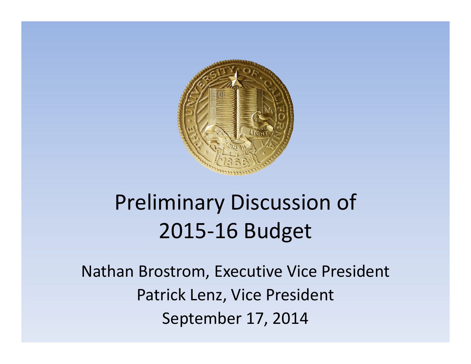

# Preliminary Discussion of 2015‐16 Budget

Nathan Brostrom, Executive Vice President Patrick Lenz, Vice President September 17, 2014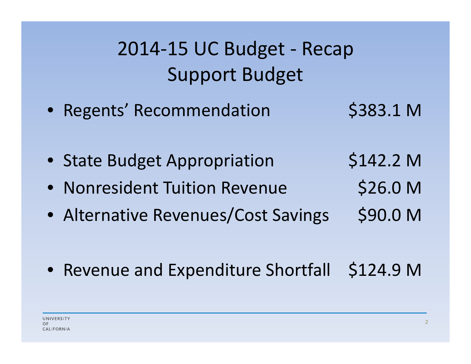2014‐15 UC Budget ‐ Recap Support Budget

- Regents' Recommendation \$383.1 M
- State Budget Appropriation \$142.2 M
- Nonresident Tuition Revenue \$26.0 M
- Alternative Revenues/Cost Savings \$90.0 M
- Revenue and Expenditure Shortfall \$124.9 M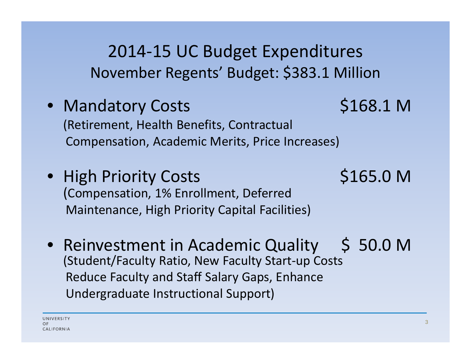2014‐15 UC Budget Expenditures November Regents' Budget: \$383.1 Million

- Mandatory Costs \$168.1 M (Retirement, Health Benefits, Contractual Compensation, Academic Merits, Price Increases)
- High Priority Costs \$165.0 M (Compensation, 1% Enrollment, Deferred Maintenance, High Priority Capital Facilities)
- Reinvestment in Academic Quality \$ 50.0 M (Student/Faculty Ratio, New Faculty Start‐up Costs Reduce Faculty and Staff Salary Gaps, Enhance Undergraduate Instructional Support)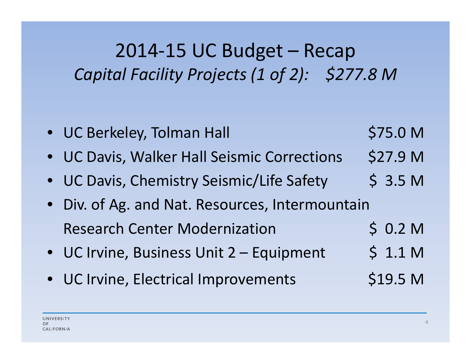## 2014‐15 UC Budget – Recap *Capital Facility Projects (1 of 2): \$277.8 <sup>M</sup>*

|           | • UC Berkeley, Tolman Hall                    | \$75.0 M           |
|-----------|-----------------------------------------------|--------------------|
|           | • UC Davis, Walker Hall Seismic Corrections   | \$27.9 M           |
|           | • UC Davis, Chemistry Seismic/Life Safety     | \$3.5 <sub>M</sub> |
| $\bullet$ | Div. of Ag. and Nat. Resources, Intermountain |                    |
|           | <b>Research Center Modernization</b>          | \$0.2 M            |
|           | • UC Irvine, Business Unit 2 - Equipment      | \$1.1 M            |
|           | • UC Irvine, Electrical Improvements          | \$19.5 M           |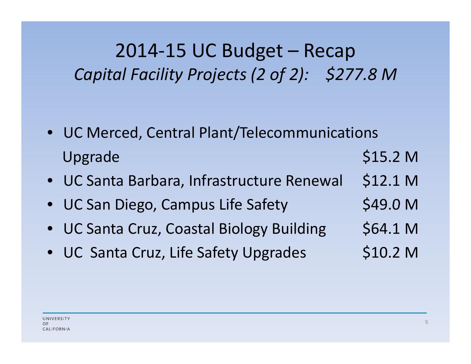## 2014‐15 UC Budget – Recap *Capital Facility Projects (2 of 2): \$277.8 <sup>M</sup>*

- UC Merced, Central Plant/Telecommunications Upgrade  $$15.2 M$
- UC Santa Barbara, Infrastructure Renewal \$12.1 M
- UC San Diego, Campus Life Safety \$49.0 M
- UC Santa Cruz, Coastal Biology Building \$64.1 M
- UC Santa Cruz, Life Safety Upgrades \$10.2 M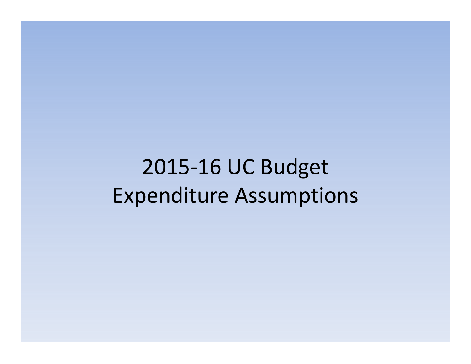2015 ‐16 UC Bu dget Ex penditure Assum ptions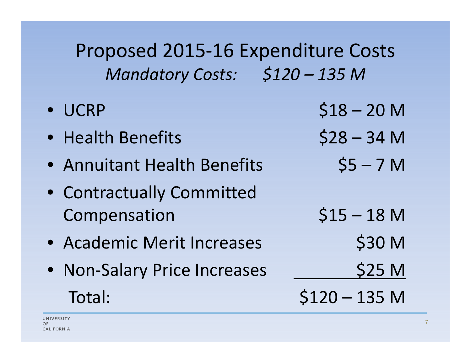Proposed 2015‐16 Expenditure Costs *Mandatory Costs: \$120 – 135 <sup>M</sup>*

• UCRP $$18 - 20$  M • Health $$28 - 34$  M • Annuitant Health Benefits  $$5 - 7$  M • Contractually Committed Compensation \$15 – 18 M • Academic Merit Increases \$30 M • Non-Salary Price Increases 1997 525 M Total: $$120 - 135$  M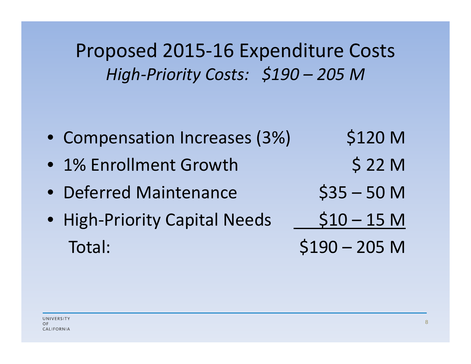Proposed 2015‐16 Expenditure Costs *High‐Priority Costs: \$190 – 205 <sup>M</sup>*

- Compensation Increases (3%) \$120 M
- 1% Enrollment Growth \$ 22 M
- Deferred Maintenance  $$35 50$  M
- High-Priority Capital Needs 510 15 M Total: $$190 - 205$  M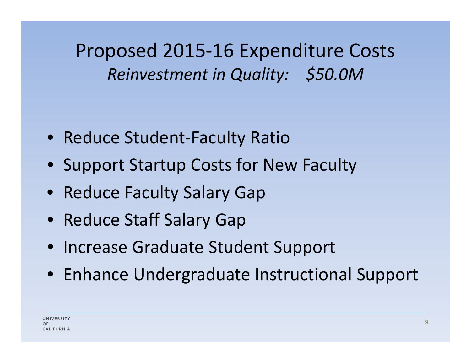Proposed 2015‐16 Expenditure Costs *Reinvestment in Quality: \$50.0M*

- Reduce Student‐Faculty Ratio
- Support Startup Costs for New Faculty
- Reduce Faculty Salary Gap
- Reduce Staff Salary Gap
- Increase Graduate Student Support
- Enhance Undergraduate Instructional Support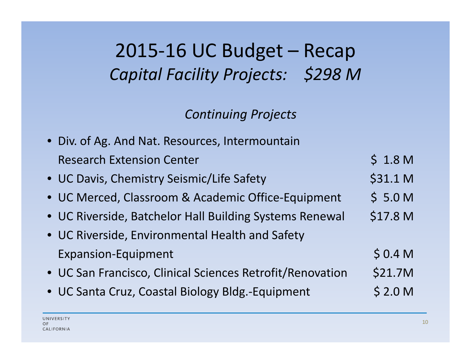### 2015‐16 UC Budget – Recap *Capital Facility Projects: \$298 <sup>M</sup>*

#### *Continuing Projects*

| • Div. of Ag. And Nat. Resources, Intermountain           |                    |
|-----------------------------------------------------------|--------------------|
| <b>Research Extension Center</b>                          | \$1.8 <sub>M</sub> |
| • UC Davis, Chemistry Seismic/Life Safety                 | \$31.1 M           |
| • UC Merced, Classroom & Academic Office-Equipment        | \$5.0 <sub>M</sub> |
| • UC Riverside, Batchelor Hall Building Systems Renewal   | \$17.8 M           |
| • UC Riverside, Environmental Health and Safety           |                    |
| <b>Expansion-Equipment</b>                                | \$0.4 <sub>M</sub> |
| • UC San Francisco, Clinical Sciences Retrofit/Renovation | \$21.7M            |
| • UC Santa Cruz, Coastal Biology Bldg.-Equipment          | \$2.0 <sub>M</sub> |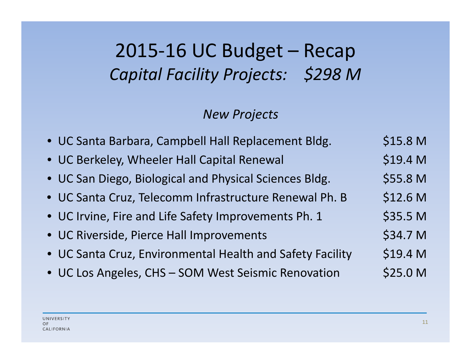## 2015‐16 UC Budget – Recap *Capital Facility Projects: \$298 <sup>M</sup>*

#### *New Projects*

| · UC Santa Barbara, Campbell Hall Replacement Bldg.       | \$15.8 M |
|-----------------------------------------------------------|----------|
| • UC Berkeley, Wheeler Hall Capital Renewal               | \$19.4 M |
| • UC San Diego, Biological and Physical Sciences Bldg.    | \$55.8 M |
| · UC Santa Cruz, Telecomm Infrastructure Renewal Ph. B    | \$12.6 M |
| • UC Irvine, Fire and Life Safety Improvements Ph. 1      | \$35.5 M |
| • UC Riverside, Pierce Hall Improvements                  | \$34.7 M |
| • UC Santa Cruz, Environmental Health and Safety Facility | \$19.4 M |
| • UC Los Angeles, CHS - SOM West Seismic Renovation       | \$25.0 M |
|                                                           |          |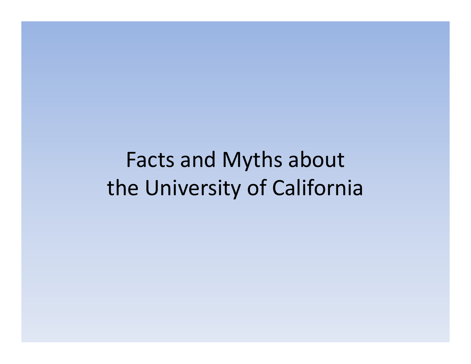# Facts and Myths about the University of California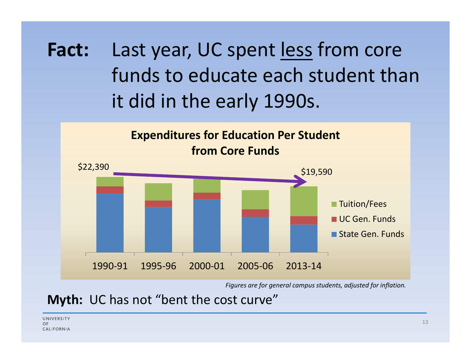**Fact:** Last year, UC spent less from core funds to educate each student than it did in the early 1990s.



*Figures are for general campus students, adjusted for inflation.*

**Myth:** UC has not "bent the cost curve"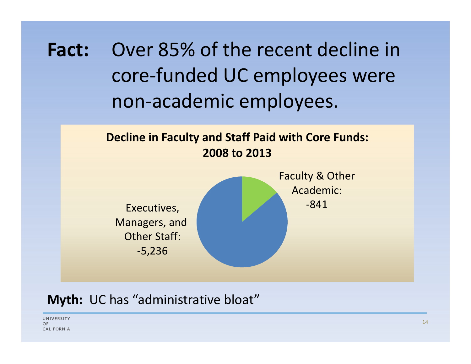**Fact:** Over 85% of the recent decline in core‐funded UC employees were non‐academic employees.



#### **Myth:** UC has "administrative bloat"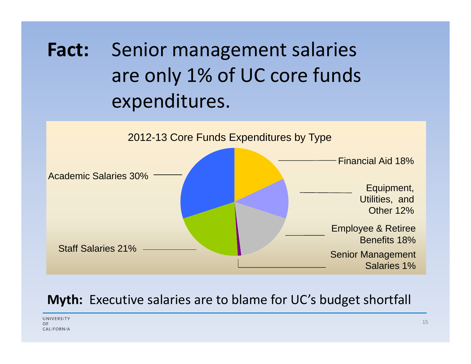**Fact:** Senior management salaries are only 1% of UC core funds expenditures.



#### **Myth:** Executive salaries are to blame for UC's budget shortfall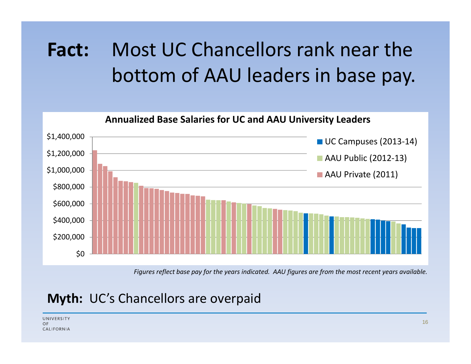# **Fact:** Most UC Chancellors rank near the bottom of AAU leaders in base pay.



*Figures reflect base pay for the years indicated. AAU figures are from the most recent years available.*

#### **Myth:** UC's Chancellors are overpaid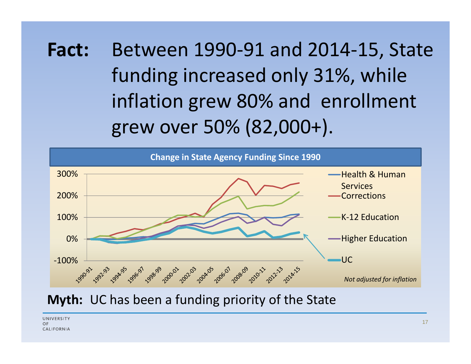**Fact:** Between 1990‐91 and 2014‐15, State funding increased only 31%, while inflation grew 80% and enrollment grew over 50% (82,000+).



#### **Myth:** UC has been a funding priority of the State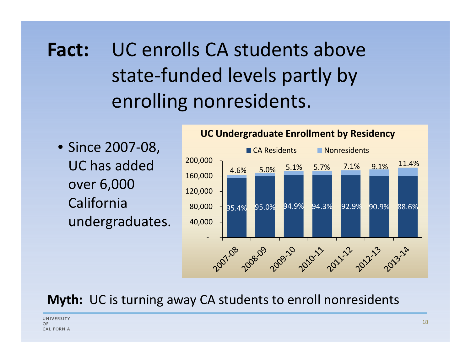### **Fact:** C enrolls CA students above state‐funded levels partly by enrolling nonresidents.

• Since 2007‐08, UC has added 200,000 over 6,000 Californiaundergraduates.



#### **Myth:** UC is turning away CA students to enroll nonresidents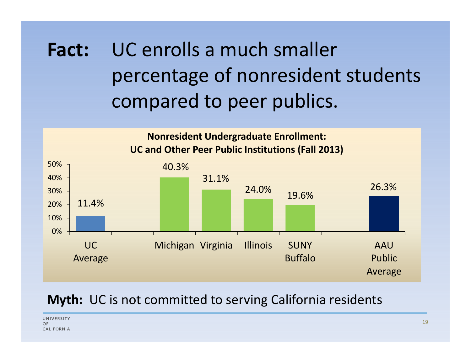### **Fact:** UC enrolls a much smaller percentage of nonresident students compared to peer publics.



#### **Myth:** UC is not committed to serving California residents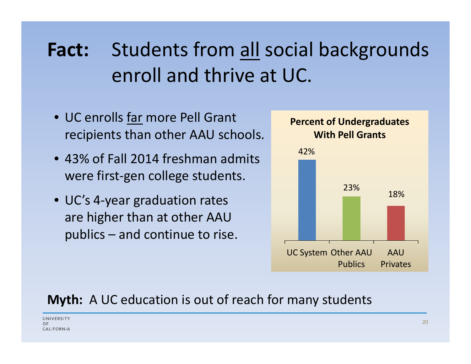# **Fact:** Students from all social backgrounds enroll and thrive at UC.

- UC enrolls far more Pell Grant recipients than other AAU schools.
- 43% of Fall 2014 freshman admits  $42\%$ were first‐gen college students.
- UC's 4-year graduation rates and the state of the state of the state of the state of the state of the state o are higher than at other AAU publics – and continue to rise.



#### **Myth:** A UC education is out of reach for many students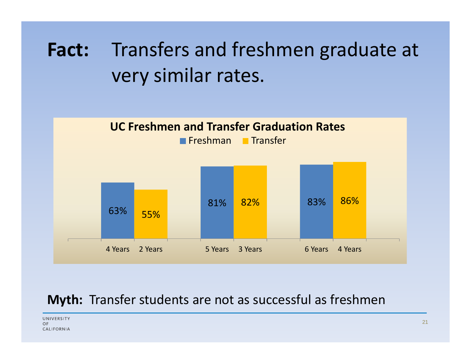# **Fact:** Transfers and freshmen graduate at very similar rates.



#### **Myth:** Transfer students are not as successful as freshmen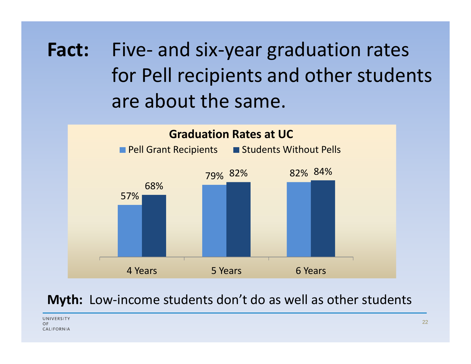**Fact:** Five‐ and six‐year graduation rates for Pell recipients and other students are about the same.



#### **Myth:** Low-income students don't do as well as other students